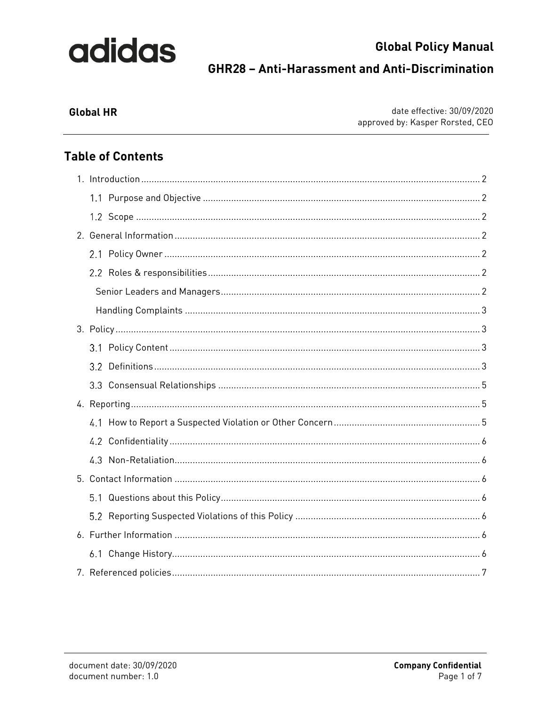## **Global Policy Manual GHR28 - Anti-Harassment and Anti-Discrimination**

### **Global HR**

date effective: 30/09/2020 approved by: Kasper Rorsted, CEO

### **Table of Contents**

|  | 5.1 |  |  |  |
|--|-----|--|--|--|
|  |     |  |  |  |
|  |     |  |  |  |
|  | 6.1 |  |  |  |
|  |     |  |  |  |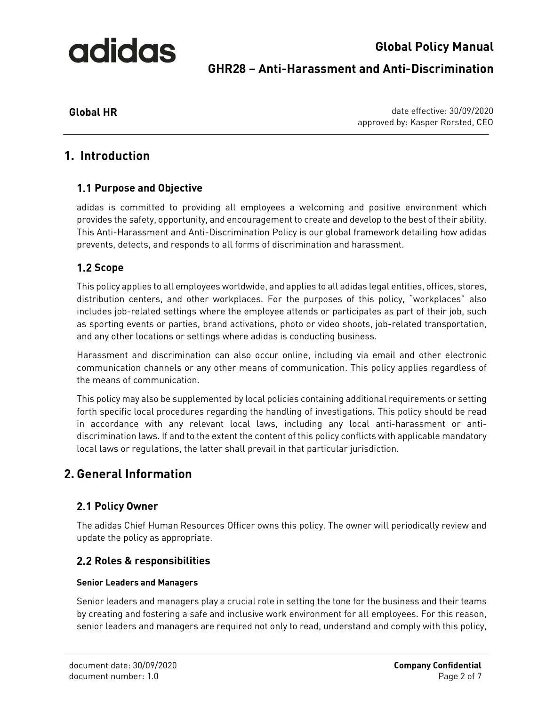## **Global Policy Manual GHR28 – Anti-Harassment and Anti-Discrimination**

**Global HR** date effective: 30/09/2020 approved by: Kasper Rorsted, CEO

### <span id="page-1-0"></span>**1. Introduction**

### <span id="page-1-1"></span>**Purpose and Objective**

adidas is committed to providing all employees a welcoming and positive environment which provides the safety, opportunity, and encouragement to create and develop to the best of their ability. This Anti-Harassment and Anti-Discrimination Policy is our global framework detailing how adidas prevents, detects, and responds to all forms of discrimination and harassment.

### <span id="page-1-2"></span>1.2 Scope

This policy applies to all employees worldwide, and applies to all adidas legal entities, offices, stores, distribution centers, and other workplaces. For the purposes of this policy, "workplaces" also includes job-related settings where the employee attends or participates as part of their job, such as sporting events or parties, brand activations, photo or video shoots, job-related transportation, and any other locations or settings where adidas is conducting business.

Harassment and discrimination can also occur online, including via email and other electronic communication channels or any other means of communication. This policy applies regardless of the means of communication.

This policy may also be supplemented by local policies containing additional requirements or setting forth specific local procedures regarding the handling of investigations. This policy should be read in accordance with any relevant local laws, including any local anti-harassment or antidiscrimination laws. If and to the extent the content of this policy conflicts with applicable mandatory local laws or regulations, the latter shall prevail in that particular jurisdiction.

### <span id="page-1-3"></span>**2. General Information**

### <span id="page-1-4"></span>**2.1 Policy Owner**

The adidas Chief Human Resources Officer owns this policy. The owner will periodically review and update the policy as appropriate.

### <span id="page-1-5"></span>**Roles & responsibilities**

### <span id="page-1-6"></span>**Senior Leaders and Managers**

Senior leaders and managers play a crucial role in setting the tone for the business and their teams by creating and fostering a safe and inclusive work environment for all employees. For this reason, senior leaders and managers are required not only to read, understand and comply with this policy,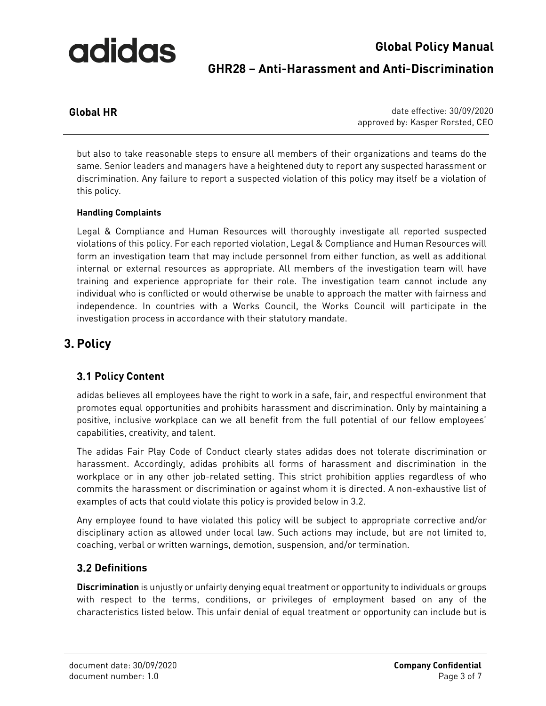## **Global Policy Manual GHR28 – Anti-Harassment and Anti-Discrimination**

**Global HR** date effective: 30/09/2020 approved by: Kasper Rorsted, CEO

but also to take reasonable steps to ensure all members of their organizations and teams do the same. Senior leaders and managers have a heightened duty to report any suspected harassment or discrimination. Any failure to report a suspected violation of this policy may itself be a violation of this policy.

### <span id="page-2-0"></span>**Handling Complaints**

Legal & Compliance and Human Resources will thoroughly investigate all reported suspected violations of this policy. For each reported violation, Legal & Compliance and Human Resources will form an investigation team that may include personnel from either function, as well as additional internal or external resources as appropriate. All members of the investigation team will have training and experience appropriate for their role. The investigation team cannot include any individual who is conflicted or would otherwise be unable to approach the matter with fairness and independence. In countries with a Works Council, the Works Council will participate in the investigation process in accordance with their statutory mandate.

### <span id="page-2-1"></span>**3. Policy**

### <span id="page-2-2"></span>**3.1 Policy Content**

adidas believes all employees have the right to work in a safe, fair, and respectful environment that promotes equal opportunities and prohibits harassment and discrimination. Only by maintaining a positive, inclusive workplace can we all benefit from the full potential of our fellow employees' capabilities, creativity, and talent.

The adidas Fair Play Code of Conduct clearly states adidas does not tolerate discrimination or harassment. Accordingly, adidas prohibits all forms of harassment and discrimination in the workplace or in any other job-related setting. This strict prohibition applies regardless of who commits the harassment or discrimination or against whom it is directed. A non-exhaustive list of examples of acts that could violate this policy is provided below in 3.2.

Any employee found to have violated this policy will be subject to appropriate corrective and/or disciplinary action as allowed under local law. Such actions may include, but are not limited to, coaching, verbal or written warnings, demotion, suspension, and/or termination.

### <span id="page-2-3"></span>**Definitions**

**Discrimination** is unjustly or unfairly denying equal treatment or opportunity to individuals or groups with respect to the terms, conditions, or privileges of employment based on any of the characteristics listed below. This unfair denial of equal treatment or opportunity can include but is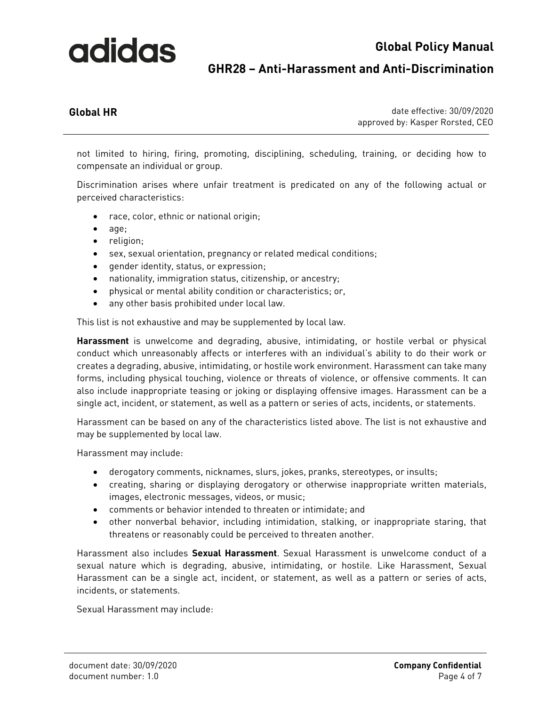### **Global Policy Manual**

### **GHR28 – Anti-Harassment and Anti-Discrimination**

**Global HR** date effective: 30/09/2020 approved by: Kasper Rorsted, CEO

not limited to hiring, firing, promoting, disciplining, scheduling, training, or deciding how to compensate an individual or group.

Discrimination arises where unfair treatment is predicated on any of the following actual or perceived characteristics:

- race, color, ethnic or national origin;
- age;
- religion;
- sex, sexual orientation, pregnancy or related medical conditions;
- gender identity, status, or expression;
- nationality, immigration status, citizenship, or ancestry;
- physical or mental ability condition or characteristics; or,
- any other basis prohibited under local law.

This list is not exhaustive and may be supplemented by local law.

**Harassment** is unwelcome and degrading, abusive, intimidating, or hostile verbal or physical conduct which unreasonably affects or interferes with an individual's ability to do their work or creates a degrading, abusive, intimidating, or hostile work environment. Harassment can take many forms, including physical touching, violence or threats of violence, or offensive comments. It can also include inappropriate teasing or joking or displaying offensive images. Harassment can be a single act, incident, or statement, as well as a pattern or series of acts, incidents, or statements.

Harassment can be based on any of the characteristics listed above. The list is not exhaustive and may be supplemented by local law.

Harassment may include:

- derogatory comments, nicknames, slurs, jokes, pranks, stereotypes, or insults;
- creating, sharing or displaying derogatory or otherwise inappropriate written materials, images, electronic messages, videos, or music;
- comments or behavior intended to threaten or intimidate; and
- other nonverbal behavior, including intimidation, stalking, or inappropriate staring, that threatens or reasonably could be perceived to threaten another.

Harassment also includes **Sexual Harassment**. Sexual Harassment is unwelcome conduct of a sexual nature which is degrading, abusive, intimidating, or hostile. Like Harassment, Sexual Harassment can be a single act, incident, or statement, as well as a pattern or series of acts, incidents, or statements.

Sexual Harassment may include: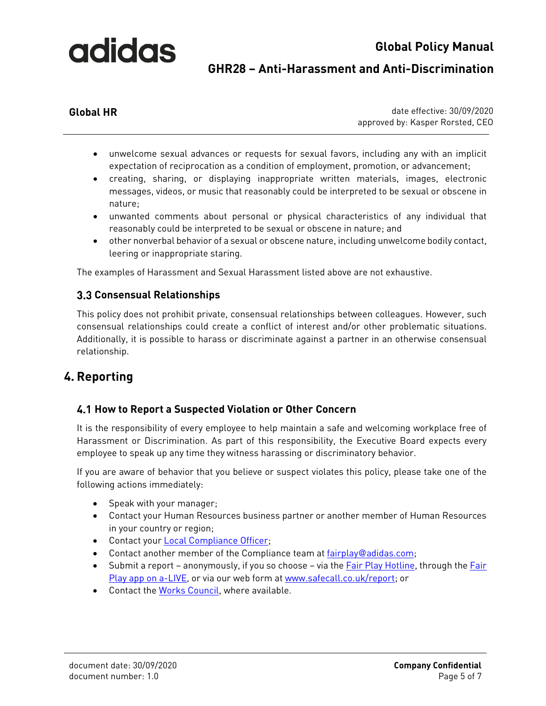### **Global Policy Manual GHR28 – Anti-Harassment and Anti-Discrimination**

**Global HR** date effective: 30/09/2020 approved by: Kasper Rorsted, CEO

- unwelcome sexual advances or requests for sexual favors, including any with an implicit expectation of reciprocation as a condition of employment, promotion, or advancement;
- creating, sharing, or displaying inappropriate written materials, images, electronic messages, videos, or music that reasonably could be interpreted to be sexual or obscene in nature;
- unwanted comments about personal or physical characteristics of any individual that reasonably could be interpreted to be sexual or obscene in nature; and
- other nonverbal behavior of a sexual or obscene nature, including unwelcome bodily contact, leering or inappropriate staring.

The examples of Harassment and Sexual Harassment listed above are not exhaustive.

### <span id="page-4-0"></span>**Consensual Relationships**

This policy does not prohibit private, consensual relationships between colleagues. However, such consensual relationships could create a conflict of interest and/or other problematic situations. Additionally, it is possible to harass or discriminate against a partner in an otherwise consensual relationship.

### <span id="page-4-1"></span>**4. Reporting**

### <span id="page-4-2"></span>**How to Report a Suspected Violation or Other Concern**

It is the responsibility of every employee to help maintain a safe and welcoming workplace free of Harassment or Discrimination. As part of this responsibility, the Executive Board expects every employee to speak up any time they witness harassing or discriminatory behavior.

If you are aware of behavior that you believe or suspect violates this policy, please take one of the following actions immediately:

- Speak with your manager;
- Contact your Human Resources business partner or another member of Human Resources in your country or region;
- Contact your [Local Compliance Officer;](https://adidasgroup.sharepoint.com/sites/fairplay/SitePages/2%20Meet%20the%20Team.aspx)
- Contact another member of the Compliance team a[t fairplay@adidas.com;](mailto:fairplay@adidas.com)
- Submit a report anonymously, if you so choose via the [Fair Play Hotline,](https://adidasgroup.sharepoint.com/sites/fairplay/SitePages/GLOBAL-FAIR-PLAY-HOTLINE-NUMBERS.aspx) through the Fair [Play app on a-LIVE,](https://adidasgroup.sharepoint.com/sites/fairplay/SitePages/3%20Contact.aspx) or via our web form a[t www.safecall.co.uk/report;](http://www.safecall.co.uk/report) or
- Contact the [Works Council,](https://adidasgroup.sharepoint.com/sites/LaborRelations/SitePages/ABCs%20of-Works-Councils.aspx) where available.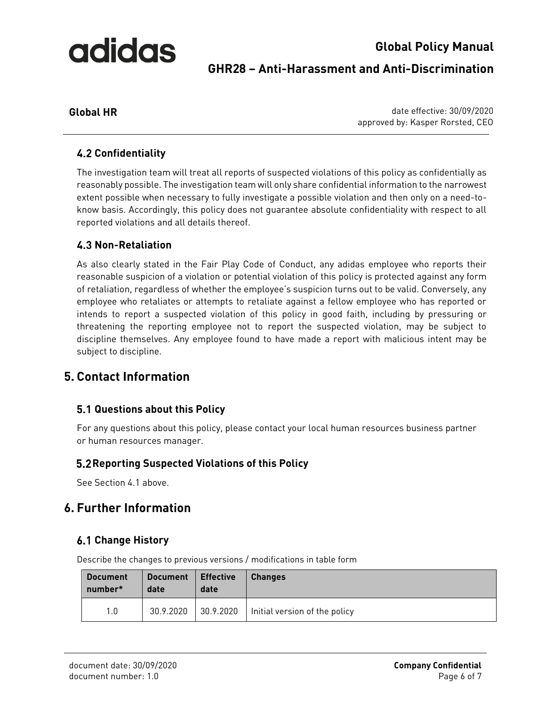## **Global Policy Manual GHR28 – Anti-Harassment and Anti-Discrimination**

**Global HR** date effective: 30/09/2020 approved by: Kasper Rorsted, CEO

### <span id="page-5-0"></span>**Confidentiality**

The investigation team will treat all reports of suspected violations of this policy as confidentially as reasonably possible. The investigation team will only share confidential information to the narrowest extent possible when necessary to fully investigate a possible violation and then only on a need-toknow basis. Accordingly, this policy does not guarantee absolute confidentiality with respect to all reported violations and all details thereof.

### <span id="page-5-1"></span>**Non-Retaliation**

As also clearly stated in the Fair Play Code of Conduct, any adidas employee who reports their reasonable suspicion of a violation or potential violation of this policy is protected against any form of retaliation, regardless of whether the employee's suspicion turns out to be valid. Conversely, any employee who retaliates or attempts to retaliate against a fellow employee who has reported or intends to report a suspected violation of this policy in good faith, including by pressuring or threatening the reporting employee not to report the suspected violation, may be subject to discipline themselves. Any employee found to have made a report with malicious intent may be subject to discipline.

### <span id="page-5-2"></span>**5. Contact Information**

### <span id="page-5-3"></span>**Questions about this Policy**

For any questions about this policy, please contact your local human resources business partner or human resources manager.

### <span id="page-5-4"></span>**Reporting Suspected Violations of this Policy**

See Section 4.1 above.

### <span id="page-5-5"></span>**6. Further Information**

### <span id="page-5-6"></span>**Change History**

Describe the changes to previous versions / modifications in table form

| <b>Document</b> | <b>Document</b> | Effective | <b>Changes</b>                |
|-----------------|-----------------|-----------|-------------------------------|
| number*         | date            | date      |                               |
| 1.0             | 30.9.2020       | 30.9.2020 | Initial version of the policy |